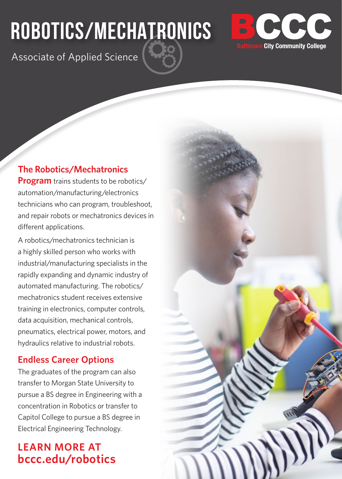# **ROBOTICS/MECHATRONICS**



Associate of Applied Science

#### **The Robotics/Mechatronics**

**Program** trains students to be robotics/ automation/manufacturing/electronics technicians who can program, troubleshoot, and repair robots or mechatronics devices in different applications.

A robotics/mechatronics technician is a highly skilled person who works with industrial/manufacturing specialists in the rapidly expanding and dynamic industry of automated manufacturing. The robotics/ mechatronics student receives extensive training in electronics, computer controls, data acquisition, mechanical controls, pneumatics, electrical power, motors, and hydraulics relative to industrial robots.

#### **Endless Career Options**

The graduates of the program can also transfer to Morgan State University to pursue a BS degree in Engineering with a concentration in Robotics or transfer to Capitol College to pursue a BS degree in Electrical Engineering Technology.

### **LEARN MORE AT bccc.edu/robotics**